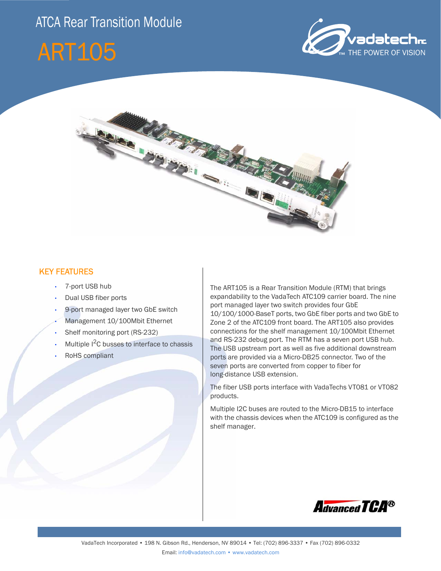# **ATCA Rear Transition Module**







### KEY FEATURES

- 7-port USB hub
- Dual USB fiber ports
- 9-port managed layer two GbE switch
- Management 10/100Mbit Ethernet
- Shelf monitoring port (RS-232)
- Multiple  $I^2C$  busses to interface to chassis
- RoHS compliant

The ART105 is a Rear Transition Module (RTM) that brings expandability to the VadaTech ATC109 carrier board. The nine port managed layer two switch provides four GbE 10/100/1000-BaseT ports, two GbE fiber ports and two GbE to Zone 2 of the ATC109 front board. The ART105 also provides connections for the shelf management 10/100Mbit Ethernet and RS-232 debug port. The RTM has a seven port USB hub. The USB upstream port as well as five additional downstream ports are provided via a Micro-DB25 connector. Two of the seven ports are converted from copper to fiber for long-distance USB extension.

The fiber USB ports interface with VadaTechs VT081 or VT082 products.

Multiple I2C buses are routed to the Micro-DB15 to interface with the chassis devices when the ATC109 is configured as the shelf manager.

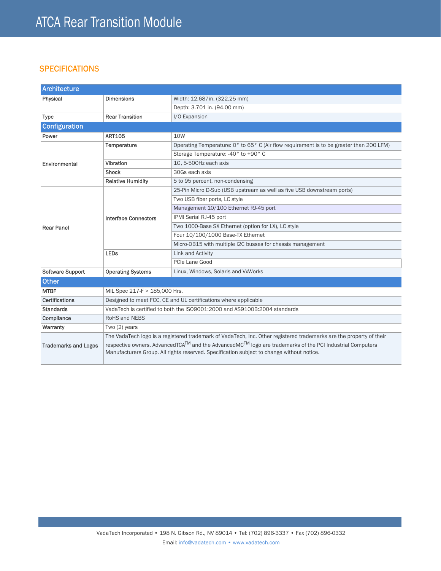## **SPECIFICATIONS**

| Architecture                |                                                                                                                     |                                                                                         |
|-----------------------------|---------------------------------------------------------------------------------------------------------------------|-----------------------------------------------------------------------------------------|
| Physical                    | <b>Dimensions</b>                                                                                                   | Width: 12.687in. (322.25 mm)                                                            |
|                             |                                                                                                                     | Depth: 3.701 in. (94.00 mm)                                                             |
| <b>Type</b>                 | <b>Rear Transition</b>                                                                                              | I/O Expansion                                                                           |
| <b>Configuration</b>        |                                                                                                                     |                                                                                         |
| Power                       | <b>ART105</b>                                                                                                       | 10W                                                                                     |
| Environmental               | Temperature                                                                                                         | Operating Temperature: 0° to 65° C (Air flow requirement is to be greater than 200 LFM) |
|                             |                                                                                                                     | Storage Temperature: -40° to +90° C                                                     |
|                             | Vibration                                                                                                           | 1G, 5-500Hz each axis                                                                   |
|                             | <b>Shock</b>                                                                                                        | 30Gs each axis                                                                          |
|                             | <b>Relative Humidity</b>                                                                                            | 5 to 95 percent, non-condensing                                                         |
| <b>Rear Panel</b>           | <b>Interface Connectors</b>                                                                                         | 25-Pin Micro D-Sub (USB upstream as well as five USB downstream ports)                  |
|                             |                                                                                                                     | Two USB fiber ports, LC style                                                           |
|                             |                                                                                                                     | Management 10/100 Ethernet RJ-45 port                                                   |
|                             |                                                                                                                     | IPMI Serial RJ-45 port                                                                  |
|                             |                                                                                                                     | Two 1000-Base SX Ethernet (option for LX), LC style                                     |
|                             |                                                                                                                     | Four 10/100/1000 Base-TX Ethernet                                                       |
|                             |                                                                                                                     | Micro-DB15 with multiple I2C busses for chassis management                              |
|                             | <b>LEDs</b>                                                                                                         | Link and Activity                                                                       |
|                             |                                                                                                                     | PCIe Lane Good                                                                          |
| <b>Software Support</b>     | <b>Operating Systems</b>                                                                                            | Linux, Windows, Solaris and VxWorks                                                     |
| <b>Other</b>                |                                                                                                                     |                                                                                         |
| <b>MTBF</b>                 | MIL Spec 217-F > 185,000 Hrs.                                                                                       |                                                                                         |
| <b>Certifications</b>       | Designed to meet FCC, CE and UL certifications where applicable                                                     |                                                                                         |
| <b>Standards</b>            | VadaTech is certified to both the ISO9001:2000 and AS9100B:2004 standards                                           |                                                                                         |
| Compliance                  | <b>RoHS and NEBS</b>                                                                                                |                                                                                         |
| Warranty                    | Two $(2)$ years                                                                                                     |                                                                                         |
| <b>Trademarks and Logos</b> | The VadaTech logo is a registered trademark of VadaTech, Inc. Other registered trademarks are the property of their |                                                                                         |
|                             | respective owners. AdvancedTCA™ and the AdvancedMC™ logo are trademarks of the PCI Industrial Computers             |                                                                                         |
|                             | Manufacturers Group. All rights reserved. Specification subject to change without notice.                           |                                                                                         |
|                             |                                                                                                                     |                                                                                         |